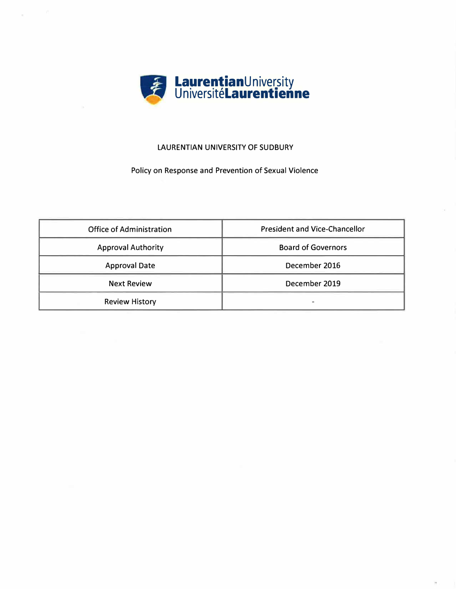

## **LAURENTIAN UNIVERSITY OF SUDBURY**

# Policy on Response and Prevention of Sexual Violence

| <b>Office of Administration</b> | <b>President and Vice-Chancellor</b> |
|---------------------------------|--------------------------------------|
| <b>Approval Authority</b>       | <b>Board of Governors</b>            |
| <b>Approval Date</b>            | December 2016                        |
| <b>Next Review</b>              | December 2019                        |
| <b>Review History</b>           |                                      |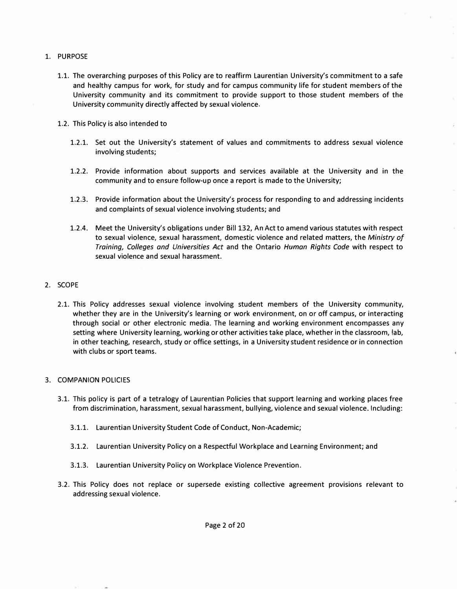- 1. PURPOSE
	- 1.1. The overarching purposes of this Policy are to reaffirm Laurentian University's commitment to a safe and healthy campus for work, for study and for campus community life for student members of the University community and its commitment to provide support to those student members of the University community directly affected by sexual violence.
	- 1.2. This Policy is also intended to
		- 1.2.1. Set out the University's statement of values and commitments to address sexual violence involving students;
		- 1.2.2. Provide information about supports and services available at the University and in the community and to ensure follow-up once a report is made to the University;
		- 1.2.3. Provide information about the University's process for responding to and addressing incidents and complaints of sexual violence involving students; and
		- 1.2.4. Meet the University's obligations under Bill 132, An Act to amend various statutes with respect to sexual violence, sexual harassment, domestic violence and related matters, the *Ministry of Training, Colleges and Universities Act* and the Ontario *Human Rights Code* with respect to sexual violence and sexual harassment.

### 2. SCOPE

2.1. This Policy addresses sexual violence involving student members of the University community, whether they are in the University's learning or work environment, on or off campus, or interacting through social or other electronic media. The learning and working environment encompasses any setting where University learning, working or other activities take place, whether in the classroom, lab, in other teaching, research, study or office settings, in a University student residence or in connection with clubs or sport teams.

#### 3. COMPANION POLICIES

- 3.1. This policy is part of a tetralogy of Laurentian Policies that support learning and working places free from discrimination, harassment, sexual harassment, bullying, violence and sexual violence. Including:
	- 3.1.1. Laurentian University Student Code of Conduct, Non-Academic;
	- 3.1.2. Laurentian University Policy on a Respectful Workplace and Learning Environment; and
	- 3.1.3. Laurentian University Policy on Workplace Violence Prevention.
- 3.2. This Policy does not replace or supersede existing collective agreement provisions relevant to addressing sexual violence.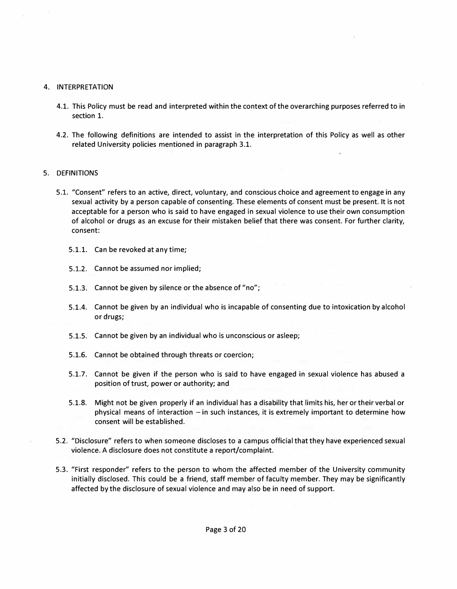### 4. INTERPRETATION

- 4.1. This Policy must be read and interpreted within the context of the overarching purposes referred to in section 1.
- 4.2. The following definitions are intended to assist in the interpretation of this Policy as well as other related University policies mentioned in paragraph 3.1.

### 5. DEFINITIONS

- 5.1. "Consent" refers to an active, direct, voluntary, and conscious choice and agreement to engage in any sexual activity by a person capable of consenting. These elements of consent must be present. It is not acceptable for a person who is said to have engaged in sexual violence to use their own consumption of alcohol or drugs as an excuse for their mistaken belief that there was consent. For further clarity, consent:
	- 5.1.1. Can be revoked at any time;
	- 5.1.2. Cannot be assumed nor implied;
	- 5.1.3. Cannot be given by silence or the absence of "no";
	- 5.1.4. Cannot be given by an individual who is incapable of consenting due to intoxication by alcohol or drugs;
	- 5.1.5. Cannot be given by an individual who is unconscious or asleep;
	- 5.1.6. Cannot be obtained through threats or coercion;
	- 5.1.7. Cannot be given if the person who is said to have engaged in sexual violence has abused a position of trust, power or authority; and
	- 5.1.8. Might not be given properly if an individual has a disability that limits his, her or their verbal or physical means of interaction  $-$  in such instances, it is extremely important to determine how consent will be established.
- 5.2. "Disclosure" refers to when someone discloses to a campus official that they have experienced sexual violence. A disclosure does not constitute a report/complaint.
- 5.3. "First responder" refers to the person to whom the affected member of the University community initially disclosed. This could be a friend, staff member of faculty member. They may be significantly affected by the disclosure of sexual violence and may also be in need of support.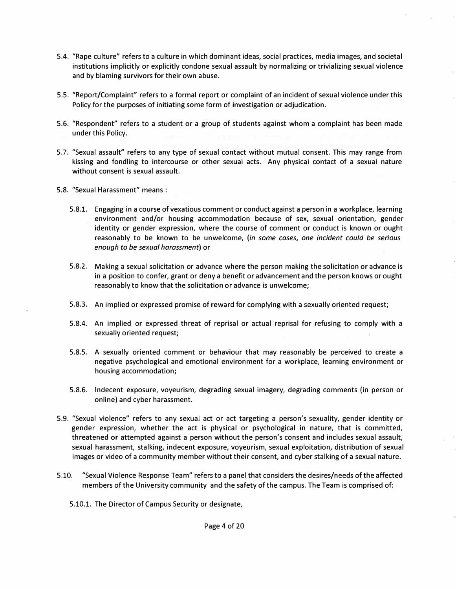- 5.4. "Rape culture" refers to a culture in which dominant ideas, social practices, media images, and societal institutions implicitly or explicitly condone sexual assault by normalizing or trivializing sexual violence and by blaming survivors for their own abuse.
- S.S. "Report/Complaint" refers to a formal report or complaint of an incident of sexual violence under this Policy for the purposes of initiating some form of investigation or adjudication.
- 5.6. "Respondent" refers to a student or a group of students against whom a complaint has been made under this Policy.
- 5.7. "Sexual assault" refers to any type of sexual contact without mutual consent. This may range from kissing and fondling to intercourse or other sexual acts. Any physical contact of a sexual nature without consent is sexual assault.
- 5.8. "Sexual Harassment" means :
	- 5.8.1. Engaging in a course of vexatious comment or conduct against a person in a workplace, learning environment and/or housing accommodation because of sex, sexual orientation, gender identity or gender expression, where the course of comment or conduct is known or ought reasonably to be known to be unwelcome, *(in some cases, one incident could be serious enough to be sexual harassment)* or
	- 5.8.2. Making a sexual solicitation or advance where the person making the solicitation or advance is in a position to confer, grant or deny a benefit or advancement and the person knows or ought reasonably to know that the solicitation or advance is unwelcome;
	- 5.8.3. An implied or expressed promise of reward for complying with a sexually oriented request;
	- 5.8.4. An implied or expressed threat of reprisal or actual reprisal for refusing to comply with a sexually oriented request;
	- 5.8.5. A sexually oriented comment or behaviour that may reasonably be perceived to create a negative psychological and emotional environment for a workplace, learning environment or housing accommodation;
	- 5.8.6. Indecent exposure, voyeurism, degrading sexual imagery, degrading comments (in person or online) and cyber harassment.
- 5.9. "Sexual violence" refers to any sexual act or act targeting a person's sexuality, gender identity or gender expression, whether the act is physical or psychological in nature, that is committed, threatened or attempted against a person without the person's consent and includes sexual assault, sexual harassment, stalking, indecent exposure, voyeurism, sexual exploitation, distribution of sexual images or video of a community member without their consent, and cyber stalking of a sexual nature.
- 5.10. "Sexual Violence Response Team" refers to a panel that considers the desires/needs of the affected members of the University community and the safety of the campus. The Team is comprised of:
	- 5.10.1. The Director of Campus Security or designate,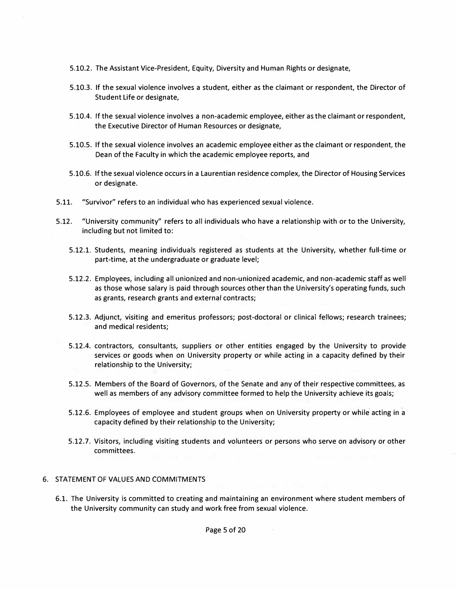- 5.10.2. The Assistant Vice-President, Equity, Diversity and Human Rights or designate,
- 5.10.3. If the sexual violence involves a student, either as the claimant or respondent, the Director of Student Life or designate,
- 5.10.4. If the sexual violence involves a non-academic employee, either as the claimant or respondent, the Executive Director of Human Resources or designate,
- 5.10.5. If the sexual violence involves an academic employee either as the claimant or respondent, the Dean of the Faculty in which the academic employee reports, and
- 5.10.6. If the sexual violence occurs in a Laurentian residence complex, the Director of Housing Services or designate.
- 5.11. "Survivor" refers to an individual who has experienced sexual violence.
- 5.12. "University community" refers to all individuals who have a relationship with or to the University, including but not limited to:
	- 5.12.1. Students, meaning individuals registered as students at the University, whether full-time or part-time, at the undergraduate or graduate level;
	- 5.12.2. Employees, including all unionized and non-unionized academic, and non-academic staff as well as those whose salary is paid through sources other than the University's operating funds, such as grants, research grants and external contracts;
	- 5.12.3. Adjunct, visiting and emeritus professors; post-doctoral or clinical fellows; research trainees; and medical residents;
	- 5.12.4. contractors, consultants, suppliers or other entities engaged by the University to provide services or goods when on University property or while acting in a capacity defined by their relationship to the University;
	- 5.12.5. Members of the Board of Governors, of the Senate and any of their respective committees, as well as members of any advisory committee formed to help the University achieve its goals;
	- 5.12.6. Employees of employee and student groups when on University property or while acting in a capacity defined by their relationship to the University;
	- 5.12.7. Visitors, including visiting students and volunteers or persons who serve on advisory or other committees.

## 6. STATEMENT OF VALUES AND COMMITMENTS

6.1. The University is committed to creating and maintaining an environment where student members of the University community can study and work free from sexual violence.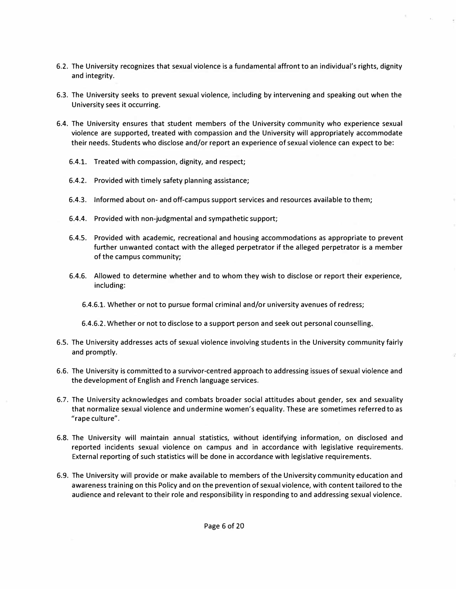- 6.2. The University recognizes that sexual violence is a fundamental affront to an individual's rights, dignity and integrity.
- 6.3. The University seeks to prevent sexual violence, including by intervening and speaking out when the University sees it occurring.
- 6.4. The University ensures that student members of the University community who experience sexual violence are supported, treated with compassion and the University will appropriately accommodate their needs. Students who disclose and/or report an experience of sexual violence can expect to be:
	- 6.4.1. Treated with compassion, dignity, and respect;
	- 6.4.2. Provided with timely safety planning assistance;
	- 6.4.3. Informed about on- and off-campus support services and resources available to them;
	- 6.4.4. Provided with non-judgmental and sympathetic support;
	- 6.4.5. Provided with academic, recreational and housing accommodations as appropriate to prevent further unwanted contact with the alleged perpetrator if the alleged perpetrator is a member of the campus community;
	- 6.4.6. Allowed to determine whether and to whom they wish to disclose or report their experience, including:
		- 6.4.6.1. Whether or not to pursue formal criminal and/or university avenues of redress;
		- 6.4.6.2. Whether or not to disclose to a support person and seek out personal counselling.
- 6.5. The University addresses acts of sexual violence involving students in the University community fairly and promptly.
- 6.6. The University is committed to a survivor-centred approach to addressing issues of sexual violence and the development of English and French language services.
- 6.7. The University acknowledges and combats broader social attitudes about gender, sex and sexuality that normalize sexual violence and undermine women's equality. These are sometimes referred to as "rape culture".
- 6.8. The University will maintain annual statistics, without identifying information, on disclosed and reported incidents sexual violence on campus and in accordance with legislative requirements. External reporting of such statistics will be done in accordance with legislative requirements.
- 6.9. The University will provide or make available to members of the University community education and awareness training on this Policy and on the prevention of sexual violence, with content tailored to the audience and relevant to their role and responsibility in responding to and addressing sexual violence.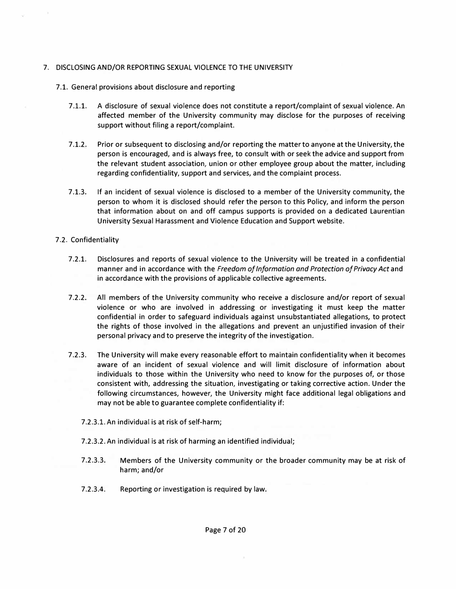### 7. DISCLOSING AND/OR REPORTING SEXUAL VIOLENCE TO THE UNIVERSITY

- 7.1. General provisions about disclosure and reporting
	- 7.1.1. A disclosure of sexual violence does not constitute a report/complaint of sexual violence. An affected member of the University community may disclose for the purposes of receiving support without filing a report/complaint.
	- 7.1.2. Prior or subsequent to disclosing and/or reporting the matter to anyone at the University, the person is encouraged, and is always free, to consult with or seek the advice and support from the relevant student association, union or other employee group about the matter, including regarding confidentiality, support and services, and the complaint process.
	- 7.1.3. If an incident of sexual violence is disclosed to a member of the University community, the person to whom it is disclosed should refer the person to this Policy, and inform the person that information about on and off campus supports is provided on a dedicated Laurentian University Sexual Harassment and Violence Education and Support website.

### 7 .2. Confidentiality

- 7.2.1. Disclosures and reports of sexual violence to the University will be treated in a confidential manner and in accordance with the *Freedom of Information and Protection of Privacy Act* and in accordance with the provisions of applicable collective agreements.
- 7.2.2. All members of the University community who receive a disclosure and/or report of sexual violence or who are involved in addressing or investigating it must keep the matter confidential in order to safeguard individuals against unsubstantiated allegations, to protect the rights of those involved in the allegations and prevent an unjustified invasion of their personal privacy and to preserve the integrity of the investigation.
- 7.2.3. The University will make every reasonable effort to maintain confidentiality when it becomes aware of an incident of sexual violence and will limit disclosure of information about individuals to those within the University who need to know for the purposes of, or those consistent with, addressing the situation, investigating or taking corrective action. Under the following circumstances, however, the University might face additional legal obligations and may not be able to guarantee complete confidentiality if:
	- 7.2.3.1. An individual is at risk of self-harm;
	- 7.2.3.2. An individual is at risk of harming an identified individual;
	- 7.2.3.3. Members of the University community or the broader community may be at risk of harm; and/or
	- 7.2.3.4. Reporting or investigation is required by law.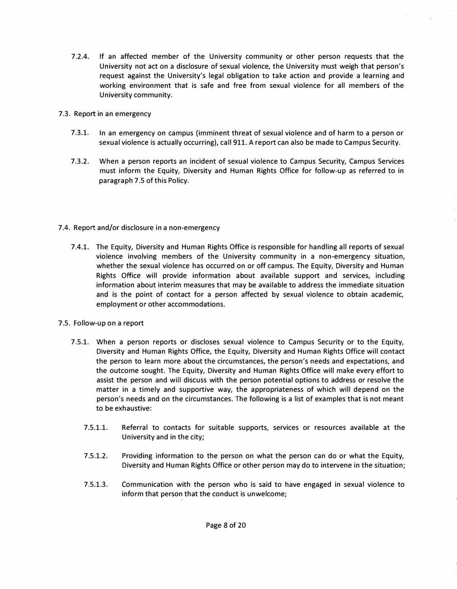- 7.2.4. If an affected member of the University community or other person requests that the University not act on a disclosure of sexual violence, the University must weigh that person's request against the University's legal obligation to take action and provide a learning and working environment that is safe and free from sexual violence for all members of the University community.
- 7.3. Report in an emergency
	- 7.3.1. In an emergency on campus (imminent threat of sexual violence and of harm to a person or sexual violence is actually occurring), call 911. A report can also be made to Campus Security.
	- 7.3.2. When a person reports an incident of sexual violence to Campus Security, Campus Services must inform the Equity, Diversity and Human Rights Office for follow-up as referred to in paragraph 7.5 of this Policy.
- 7 .4. Report and/or disclosure in a non-emergency
	- 7.4.1. The Equity, Diversity and Human Rights Office is responsible for handling all reports of sexual violence involving members of the University community in a non-emergency situation, whether the sexual violence has occurred on or off campus. The Equity, Diversity and Human Rights Office will provide information about available support and services, including information about interim measures that may be available to address the immediate situation and is the point of contact for a person affected by sexual violence to obtain academic, employment or other accommodations.
- 7.5. Follow-up on a report
	- 7.5.1. When a person reports or discloses sexual violence to Campus Security or to the Equity, Diversity and Human Rights Office, the Equity, Diversity and Human Rights Office will contact the person to learn more about the circumstances, the person's needs and expectations, and the outcome sought. The Equity, Diversity and Human Rights Office will make every effort to assist the person and will discuss with the person potential options to address or resolve the matter in a timely and supportive way, the appropriateness of which will depend on the person's needs and on the circumstances. The following is a list of examples that is not meant to be exhaustive:
		- 7.5.1.1. Referral to contacts for suitable supports, services or resources available at the University and in the city;
		- 7.5.1.2. Providing information to the person on what the person can do or what the Equity, Diversity and Human Rights Office or other person may do to intervene in the situation;
		- 7.5.1.3. Communication with the person who is said to have engaged in sexual violence to inform that person that the conduct is unwelcome;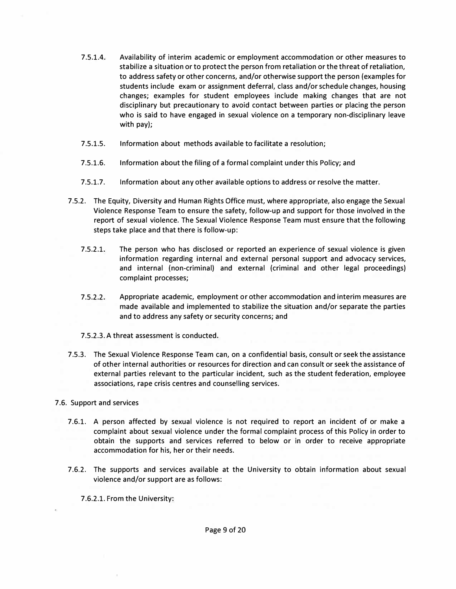- 7.5.1.4. Availability of interim academic or employment accommodation or other measures to stabilize a situation or to protect the person from retaliation or the threat of retaliation, to address safety or other concerns, and/or otherwise support the person (examples for students include exam or assignment deferral, class and/or schedule changes, housing changes; examples for student employees include making changes that are not disciplinary but precautionary to avoid contact between parties or placing the person who is said to have engaged in sexual violence on a temporary non-disciplinary leave with pay);
- 7.5.1.5. Information about methods available to facilitate a resolution;
- 7.5.1.6. Information about the filing of a formal complaint under this Policy; and
- 7.5.1.7. Information about any other available options to address or resolve the matter.
- 7.5.2. The Equity, Diversity and Human Rights Office must, where appropriate, also engage the Sexual Violence Response Team to ensure the safety, follow-up and support for those involved in the report of sexual violence. The Sexual Violence Response Team must ensure that the following steps take place and that there is follow-up:
	- 7.5.2.1. The person who has disclosed or reported an experience of sexual violence is given information regarding internal and external personal support and advocacy services, and internal (non-criminal) and external (criminal and other legal proceedings) complaint processes;
	- $7.5.2.2.$ Appropriate academic, employment or other accommodation and interim measures are made available and implemented to stabilize the situation and/or separate the parties and to address any safety or security concerns; and
	- 7.5.2.3. A threat assessment is conducted.
- 7.5.3. The Sexual Violence Response Team can, on a confidential basis, consult or seek the assistance of other internal authorities or resources for direction and can consult or seek the assistance of external parties relevant to the particular incident, such as the student federation, employee associations, rape crisis centres and counselling services.

## 7.6. Support and services

- 7.6.1. A person affected by sexual violence is not required to report an incident of or make a complaint about sexual violence under the formal complaint process of this Policy in order to obtain the supports and services referred to below or in order to receive appropriate accommodation for his, her or their needs.
- 7.6.2. The supports and services available at the University to obtain information about sexual violence and/or support are as follows:

7.6.2.1. From the University: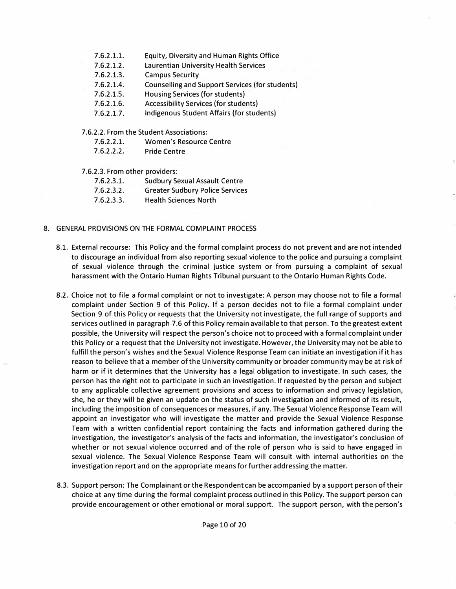- 7.6.2.1.1. Equity, Diversity and Human Rights Office
- 7.6.2.1.2. Laurentian University Health Services
- 7.6.2.1.3. Campus Security
- 7.6.2.1.4. Counselling and Support Services (for students)
- 7.6.2.1.5. Housing Services (for students)
- 7.6.2.1.6. Accessibility Services (for students)
- 7.6.2.1.7. Indigenous Student Affairs (for students)
- 7.6.2.2. From the Student Associations:
	- 7.6.2.2.1. Women's Resource Centre
	- 7.6.2.2.2. Pride Centre
- 7.6.2.3. From other providers:
	- 7.6.2.3.1. Sudbury Sexual Assault Centre 7.6.2.3.2. Greater Sudbury Police Services 7.6.2.3.3. Health Sciences North
- 8. GENERAL PROVISIONS ON THE FORMAL COMPLAINT PROCESS
	- 8.1. External recourse: This Policy and the formal complaint process do not prevent and are not intended to discourage an individual from also reporting sexual violence to the police and pursuing a complaint of sexual violence through the criminal justice system or from pursuing a complaint of sexual harassment with the Ontario Human Rights Tribunal pursuant to the Ontario Human Rights Code.
	- 8.2. Choice not to file a formal complaint or not to investigate: A person may choose not to file a formal complaint under Section 9 of this Policy. If a person decides not to file a formal complaint under Section 9 of this Policy or requests that the University not investigate, the full range of supports and services outlined in paragraph 7.6 of this Policy remain available to that person. To the greatest extent possible, the University will respect the person's choice not to proceed with a formal complaint under this Policy or a request that the University not investigate. However, the University may not be able to fulfill the person's wishes and the Sexual Violence Response Team can initiate an investigation if it has reason to believe that a member of the University community or broader community may be at risk of harm or if it determines that the University has a legal obligation to investigate. In such cases, the person has the right not to participate in such an investigation. If requested by the person and subject to any applicable collective agreement provisions and access to information and privacy legislation, she, he or they will be given an update on the status of such investigation and informed of its result, including the imposition of consequences or measures, if any. The Sexual Violence Response Team will appoint an investigator who will investigate the matter and provide the Sexual Violence Response Team with a written confidential report containing the facts and information gathered during the investigation, the investigator's analysis of the facts and information, the investigator's conclusion of whether or not sexual violence occurred and of the role of person who is said to have engaged in sexual violence. The Sexual Violence Response Team will consult with internal authorities on the investigation report and on the appropriate means for further addressing the matter.
	- 8.3. Support person: The Complainant or the Respondent can be accompanied by a support person of their choice at any time during the formal complaint process outlined in this Policy. The support person can provide encouragement or other emotional or moral support. The support person, with the person's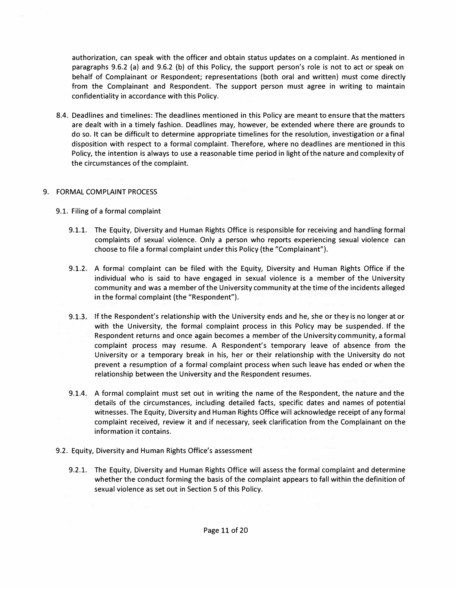authorization, can speak with the officer and obtain status updates on a complaint. As mentioned in paragraphs 9.6.2 (a) and 9.6.2 (b) of this Policy, the support person's role is not to act or speak on behalf of Complainant or Respondent; representations (both oral and written) must come directly from the Complainant and Respondent. The support person must agree in writing to maintain confidentiality in accordance with this Policy.

8.4. Deadlines and timelines: The deadlines mentioned in this Policy are meant to ensure that the matters are dealt with in a timely fashion. Deadlines may, however, be extended where there are grounds to do so. It can be difficult to determine appropriate timelines for the resolution, investigation or a final disposition with respect to a formal complaint. Therefore, where no deadlines are mentioned in this Policy, the intention is always to use a reasonable time period in light of the nature and complexity of the circumstances of the complaint.

## 9. FORMAL COMPLAINT PROCESS

- 9.1. Filing of a formal complaint
	- 9.1.1. The Equity, Diversity and Human Rights Office is responsible for receiving and handling formal complaints of sexual violence. Only a person who reports experiencing sexual violence can choose to file a formal complaint under this Policy (the "Complainant").
	- 9.1.2. A formal complaint can be filed with the Equity, Diversity and Human Rights Office if the individual who is said to have engaged in sexual violence is a member of the University community and was a member of the University community at the time of the incidents alleged in the formal complaint (the "Respondent").
	- 9.1.3. If the Respondent's relationship with the University ends and he, she or they is no longer at or with the University, the formal complaint process in this Policy may be suspended. If the Respondent returns and once again becomes a member of the University community, a formal complaint process may resume. A Respondent's temporary leave of absence from the University or a temporary break in his, her or their relationship with the University do not prevent a resumption of a formal complaint process when such leave has ended or when the relationship between the University and the Respondent resumes.
	- 9.1.4. A formal complaint must set out in writing the name of the Respondent, the nature and the details of the circumstances, including detailed facts, specific dates and names of potential witnesses. The Equity, Diversity and Human Rights Office will acknowledge receipt of any formal complaint received, review it and if necessary, seek clarification from the Complainant on the information it contains.
- 9.2. Equity, Diversity and Human Rights Office's assessment
	- 9.2.1. The Equity, Diversity and Human Rights Office will assess the formal complaint and determine whether the conduct forming the basis of the complaint appears to fall within the definition of sexual violence as set out in Section 5 of this Policy.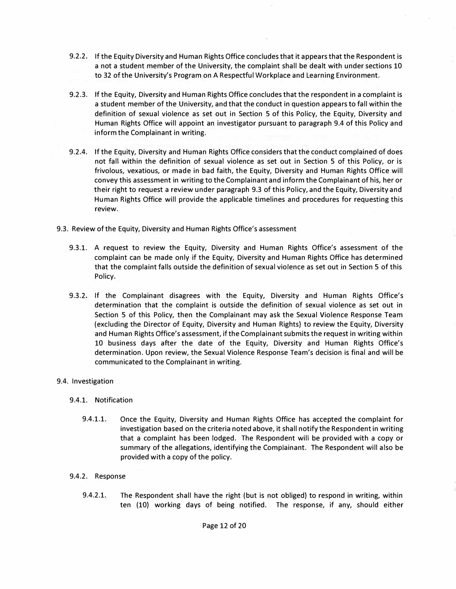- 9.2.2. If the Equity Diversity and Human Rights Office concludes that it appears that the Respondent is a not a student member of the University, the complaint shall be dealt with under sections 10 to 32 of the University's Program on A Respectful Workplace and Learning Environment.
- 9.2.3. If the Equity, Diversity and Human Rights Office concludes that the respondent in a complaint is a student member of the University, and that the conduct in question appears to fall within the definition of sexual violence as set out in Section 5 of this Policy, the Equity, Diversity and Human Rights Office will appoint an investigator pursuant to paragraph 9.4 of this Policy and inform the Complainant in writing.
- 9.2.4. If the Equity, Diversity and Human Rights Office considers that the conduct complained of does not fall within the definition of sexual violence as set out in Section 5 of this Policy, or is frivolous, vexatious, or made in bad faith, the Equity, Diversity and Human Rights Office will convey this assessment in writing to the Complainant and inform the Complainant of his, her or their right to request a review under paragraph 9.3 of this Policy, and the Equity, Diversity and Human Rights Office will provide the applicable timelines and procedures for requesting this review.
- 9.3. Review of the Equity, Diversity and Human Rights Office's assessment
	- 9.3.1. A request to review the Equity, Diversity and Human Rights Office's assessment of the complaint can be made only if the Equity, Diversity and Human Rights Office has determined that the complaint falls outside the definition of sexual violence as set out in Section 5 of this Policy.
	- 9.3.2. If the Complainant disagrees with the Equity, Diversity and Human Rights Office's determination that the complaint is outside the definition of sexual violence as set out in Section 5 of this Policy, then the Complainant may ask the Sexual Violence Response Team (excluding the Director of Equity, Diversity and Human Rights) to review the Equity, Diversity and Human Rights Office's assessment, if the Complainant submits the request in writing within 10 business days after the date of the Equity, Diversity and Human Rights Office's determination. Upon review, the Sexual Violence Response Team's decision is final and will be communicated to the Complainant in writing.

## 9.4. Investigation

## 9.4.1. Notification

9.4.1.1. Once the Equity, Diversity and Human Rights Office has accepted the complaint for investigation based on the criteria noted above, it shall notify the Respondent in writing that a complaint has been lodged. The Respondent will be provided with a copy or summary of the allegations, identifying the Complainant. The Respondent will also be provided with a copy of the policy.

## 9.4.2. Response

9.4.2.1. The Respondent shall have the right (but is not obliged) to respond in writing, within ten (10) working days of being notified. The response, if any, should either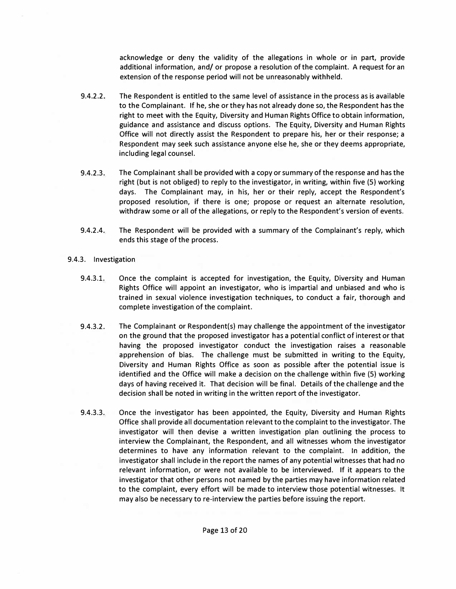acknowledge or deny the validity of the allegations in whole or in part, provide additional information, and/ or propose a resolution of the complaint. A request for an extension of the response period will not be unreasonably withheld.

- 9.4.2.2. The Respondent is entitled to the same level of assistance in the process as is available to the Complainant. If he, she or they has not already done so, the Respondent has the right to meet with the Equity, Diversity and Human Rights Office to obtain information, guidance and assistance and discuss options. The Equity, Diversity and Human Rights Office will not directly assist the Respondent to prepare his, her or their response; a Respondent may seek such assistance anyone else he, she or they deems appropriate, including legal counsel.
- 9.4.2.3. The Complainant shall be provided with a copy or summary of the response and has the right (but is not obliged) to reply to the investigator, in writing, within five (5) working days. The Complainant may, in his, her or their reply, accept the Respondent's proposed resolution, if there is one; propose or request an alternate resolution, withdraw some or all of the allegations, or reply to the Respondent's version of events.
- 9.4.2.4. The Respondent will be provided with a summary of the Complainant's reply, which ends this stage of the process.
- 9.4.3. Investigation
	- 9.4.3.1. Once the complaint is accepted for investigation, the Equity, Diversity and Human Rights Office will appoint an investigator, who is impartial and unbiased and who is trained in sexual violence investigation techniques, to conduct a fair, thorough and complete investigation of the complaint.
	- 9.4.3.2. The Complainant or Respondent(s) may challenge the appointment of the investigator on the ground that the proposed investigator has a potential conflict of interest or that having the proposed investigator conduct the investigation raises a reasonable apprehension of bias. The challenge must be submitted in writing to the Equity, Diversity and Human Rights Office as soon as possible after the potential issue is identified and the Office will make a decision on the challenge within five (5) working days of having received it. That decision will be final. Details of the challenge and the decision shall be noted in writing in the written report of the investigator.
	- 9.4.3.3. Once the investigator has been appointed, the Equity, Diversity and Human Rights Office shall provide all documentation relevant to the complaint to the investigator. The investigator will then devise a written investigation plan outlining the process to interview the Complainant, the Respondent, and all witnesses whom the investigator determines to have any information relevant to the complaint. In addition, the investigator shall include in the report the names of any potential witnesses that had no relevant information, or were not available to be interviewed. If it appears to the investigator that other persons not named by the parties may have information related to the complaint, every effort will be made to interview those potential witnesses. It may also be necessary to re-interview the parties before issuing the report.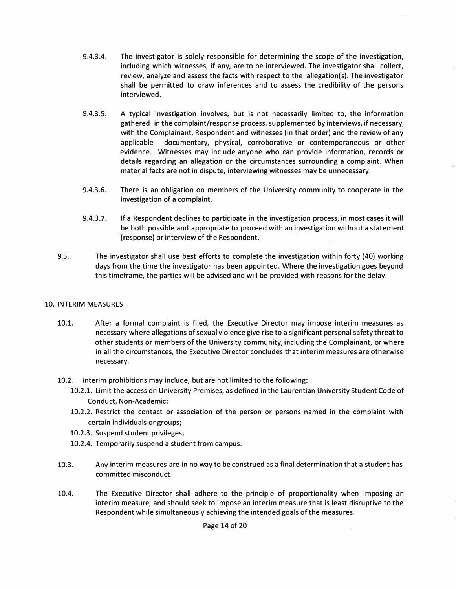- 9.4.3.4. The investigator is solely responsible for determining the scope of the investigation, including which witnesses, if any, are to be interviewed. The investigator shall collect, review, analyze and assess the facts with respect to the allegation(s). The investigator shall be permitted to draw inferences and to assess the credibility of the persons interviewed.
- 9.4.3.5. A typical investigation involves, but is not necessarily limited to, the information gathered in the complaint/response process, supplemented by interviews, if necessary, with the Complainant, Respondent and witnesses (in that order) and the review of any applicable documentary, physical, corroborative or contemporaneous or other evidence. Witnesses may include anyone who can provide information, records or details regarding an allegation or the circumstances surrounding a complaint. When material facts are not in dispute, interviewing witnesses may be unnecessary.
- 9.4.3.6. There is an obligation on members of the University community to cooperate in the investigation of a complaint.
- 9.4.3.7. If a Respondent declines to participate in the investigation process, in most cases it will be both possible and appropriate to proceed with an investigation without a statement (response) or interview of the Respondent.
- 9.5. The investigator shall use best efforts to complete the investigation within forty (40) working days from the time the investigator has been appointed. Where the investigation goes beyond this timeframe, the parties will be advised and will be provided with reasons for the delay.

## 10. INTERIM MEASURES

- 10.1. After a formal complaint is filed, the Executive Director may impose interim measures as necessary where allegations of sexual violence give rise to a significant personal safety threat to other students or members of the University community, including the Complainant, or where in all the circumstances, the Executive Director concludes that interim measures are otherwise necessary.
- 10.2. Interim prohibitions may include, but are not limited to the following:
	- 10.2.1. Limit the access on University Premises, as defined in the Laurentian University Student Code of Conduct, Non-Academic;
	- 10.2.2. Restrict the contact or association of the person or persons named in the complaint with certain individuals or groups;
	- 10.2.3. Suspend student privileges;
	- 10.2.4. Temporarily suspend a student from campus.
- 10.3. Any interim measures are in no way to be construed as a final determination that a student has committed misconduct.
- 10.4. The Executive Director shall adhere to the principle of proportionality when imposing an interim measure, and should seek to impose an interim measure that is least disruptive to the Respondent while simultaneously achieving the intended goals of the measures.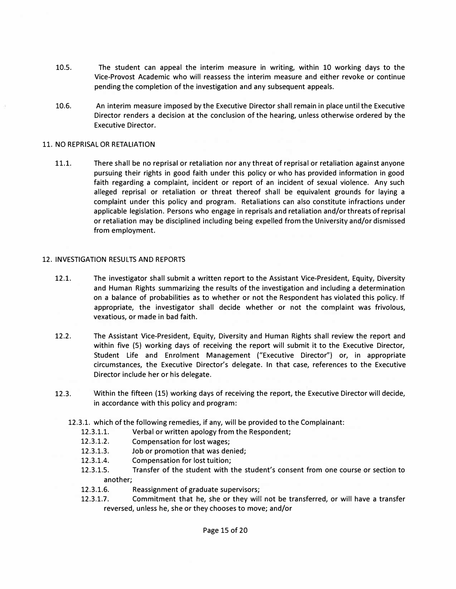- 10.5. The student can appeal the interim measure in writing, within 10 working days to the Vice-Provost Academic who will reassess the interim measure and either revoke or continue pending the completion of the investigation and any subsequent appeals.
- 10.6. An interim measure imposed by the Executive Director shall remain in place until the Executive Director renders a decision at the conclusion of the hearing, unless otherwise ordered by the Executive Director.

### 11. NO REPRISAL OR RETALIATION

11.1. There shall be no reprisal or retaliation nor any threat of reprisal or retaliation against anyone pursuing their rights in good faith under this policy or who has provided information in good faith regarding a complaint, incident or report of an incident of sexual violence. Any such alleged reprisal or retaliation or threat thereof shall be equivalent grounds for laying a complaint under this policy and program. Retaliations can also constitute infractions under applicable legislation. Persons who engage in reprisals and retaliation and/or threats of reprisal or retaliation may be disciplined including being expelled from the University and/or dismissed from employment.

### 12. INVESTIGATION RESULTS AND REPORTS

- 12.1. The investigator shall submit a written report to the Assistant Vice-President, Equity, Diversity and Human Rights summarizing the results of the investigation and including a determination on a balance of probabilities as to whether or not the Respondent has violated this policy. If appropriate, the investigator shall decide whether or not the complaint was frivolous, vexatious, or made in bad faith.
- 12.2. The Assistant Vice-President, Equity, Diversity and Human Rights shall review the report and within five (5) working days of receiving the report will submit it to the Executive Director, Student Life and Enrolment Management ("Executive Director") or, in appropriate circumstances, the Executive Director's delegate. In that case, references to the Executive Director include her or his delegate.
- 12.3. Within the fifteen (15) working days of receiving the report, the Executive Director will decide, in accordance with this policy and program:
	- 12.3.1. which of the following remedies, if any, will be provided to the Complainant:
		- 12.3.1.1. Verbal or written apology from the Respondent;
		- 12.3.1.2. Compensation for lost wages;
		- 12.3.1.3. Job or promotion that was denied;
		- 12.3.1.4. Compensation for lost tuition;
		- 12.3.1.5. Transfer of the student with the student's consent from one course or section to another;
		- 12.3.1.6. Reassignment of graduate supervisors;
		- 12.3.1.7. Commitment that he, she or they will not be transferred, or will have a transfer reversed, unless he, she or they chooses to move; and/or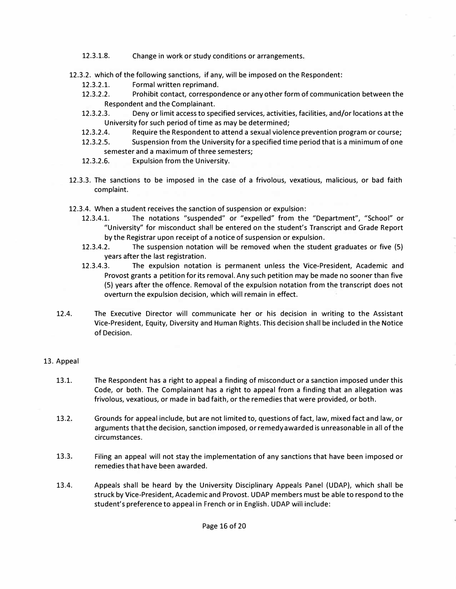- 12.3.1.8. Change in work or study conditions or arrangements.
- 12.3.2. which of the following sanctions, if any, will be imposed on the Respondent:
	- 12.3.2.1. Formal written reprimand.<br>12.3.2.2. Prohibit contact. correspor
	- Prohibit contact, correspondence or any other form of communication between the Respondent and the Complainant.
	- 12.3.2.3. Deny or limit access to specified services, activities, facilities, and/or locations at the University for such period of time as may be determined;
	- 12.3.2.4. Require the Respondent to attend a sexual violence prevention program or course;
	- 12.3.2.5. Suspension from the University for a specified time period that is a minimum of one
	- semester and a maximum of three semesters;
	- 12.3.2.6. Expulsion from the University.
- 12.3.3. The sanctions to be imposed in the case of a frivolous, vexatious, malicious, or bad faith complaint.
- 12.3.4. When a student receives the sanction of suspension or expulsion:
	- 12.3.4.1. The notations "suspended" or "expelled" from the "Department", "School" or "University" for misconduct shall be entered on the student's Transcript and Grade Report by the Registrar upon receipt of a notice of suspension or expulsion.
	- 12.3.4.2. The suspension notation will be removed when the student graduates or five (5) years after the last registration.
	- 12.3.4.3. The expulsion notation is permanent unless the Vice-President, Academic and Provost grants a petition for its removal. Any such petition may be made no sooner than five (5) years after the offence. Removal of the expulsion notation from the transcript does not overturn the expulsion decision, which will remain in effect.
- 12.4. The Executive Director will communicate her or his decision in writing to the Assistant Vice-President, Equity, Diversity and Human Rights. This decision shall be included in the Notice of Decision.

## 13. Appeal

- 13.1. The Respondent has a right to appeal a finding of misconduct or a sanction imposed under this Code, or both. The Complainant has a right to appeal from a finding that an allegation was frivolous, vexatious, or made in bad faith, or the remedies that were provided, or both.
- 13.2. Grounds for appeal include, but are not limited to, questions of fact, law, mixed fact and law, or arguments that the decision, sanction imposed, or remedy awarded is unreasonable in all of the circumstances.
- 13.3. Filing an appeal will not stay the implementation of any sanctions that have been imposed or remedies that have been awarded.
- 13.4. Appeals shall be heard by the University Disciplinary Appeals Panel (UDAP), which shall be struck by Vice-President, Academic and Provost. UDAP members must be able to respond to the student's preference to appeal in French or in English. UDAP will include: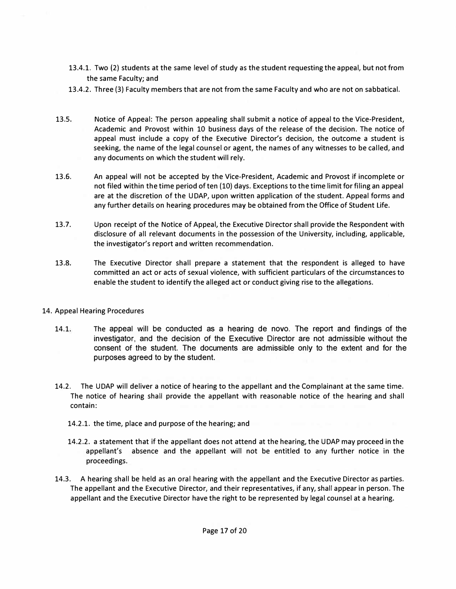- 13.4.1. Two (2) students at the same level of study as the student requesting the appeal, but not from the same Faculty; and
- 13.4.2. Three (3) Faculty members that are not from the same Faculty and who are not on sabbatical.
- 13.5. Notice of Appeal: The person appealing shalt submit a notice of appeal to the Vice-President, Academic and Provost within 10 business days of the release of the decision. The notice of appeal must include a copy of the Executive Director's decision, the outcome a student is seeking, the name of the legal counsel or agent, the names of any witnesses to be called, and any documents on which the student will rely.
- 13.6. An appeal will not be accepted by the Vice-President, Academic and Provost if incomplete or not filed within the time period of ten (10) days. Exceptions to the time limit for filing an appeal are at the discretion of the UDAP, upon written application of the student. Appeal forms and any further details on hearing procedures may be obtained from the Office of Student Life.
- 13.7. Upon receipt of the Notice of Appeal, the Executive Director shall provide the Respondent with disclosure of alt relevant documents in the possession of the University, including, applicable, the investigator's report and written recommendation.
- 13.8. The Executive Director shall prepare a statement that the respondent is alleged to have committed an act or acts of sexual violence, with sufficient particulars of the circumstances to enable the student to identify the alleged act or conduct giving rise to the allegations.
- 14. Appeal Hearing Procedures
	- 14.1. The appeal will be conducted as a hearing de novo. The report and findings of the investigator, and the decision of the Executive Director are not admissible without the consent of the student. The documents are admissible only to the extent and for the purposes agreed to by the student.
	- 14.2. The UDAP will deliver a notice of hearing to the appellant and the Complainant at the same time. The notice of hearing shall provide the appellant with reasonable notice of the hearing and shall contain:
		- 14.2.1. the time, place and purpose of the hearing; and
		- 14.2.2. a statement that if the appellant does not attend at the hearing, the UDAP may proceed in the appellant's absence and the appellant will not be entitled to any further notice in the proceedings.
	- 14.3. A hearing shall be held as an oral hearing with the appellant and the Executive Director as parties. The appellant and the Executive Director, and their representatives, if any, shall appear in person. The appellant and the Executive Director have the right to be represented by legal counsel at a hearing.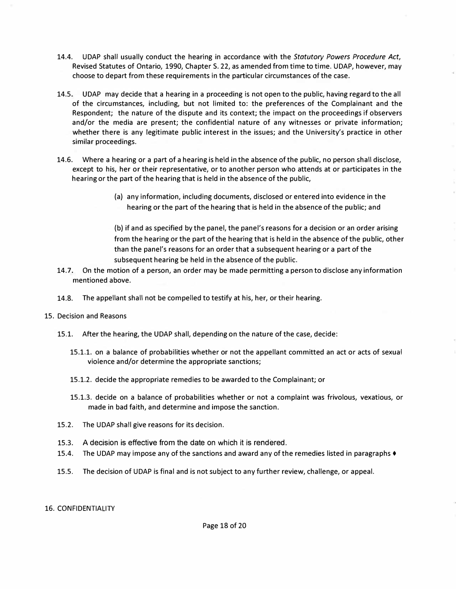- 14.4. UDAP shall usually conduct the hearing in accordance with the *Statutory Powers Procedure Act,*  Revised Statutes of Ontario, 1990, Chapter S. 22, as amended from time to time. UDAP, however, may choose to depart from these requirements in the particular circumstances of the case.
- 14.5. UDAP may decide that a hearing in a proceeding is not open to the public, having regard to the all of the circumstances, including, but not limited to: the preferences of the Complainant and the Respondent; the nature of the dispute and its context; the impact on the proceedings if observers and/or the media are present; the confidential nature of any witnesses or private information; whether there is any legitimate public interest in the issues; and the University's practice in other similar proceedings.
- 14.6. Where a hearing or a part of a hearing is held in the absence of the public, no person shall disclose, except to his, her or their representative, or to another person who attends at or participates in the hearing or the part of the hearing that is held in the absence of the public,
	- (a) any information, including documents, disclosed or entered into evidence in the hearing or the part of the hearing that is held in the absence of the public; and

(b) if and as specified by the panel, the panel's reasons for a decision or an order arising from the hearing or the part of the hearing that is held in the absence of the public, other than the panel's reasons for an order that a subsequent hearing or a part of the subsequent hearing be held in the absence of the public.

- 14.7. On the motion of a person, an order may be made permitting a person to disclose any information mentioned above.
- 14.8. The appellant shall not be compelled to testify at his, her, or their hearing.
- 15. Decision and Reasons
	- 15.1. After the hearing, the UDAP shall, depending on the nature of the case, decide:
		- 15.1.1. on a balance of probabilities whether or not the appellant committed an act or acts of sexual violence and/or determine the appropriate sanctions;
		- 15.1.2. decide the appropriate remedies to be awarded to the Complainant; or
		- 15.1.3. decide on a balance of probabilities whether or not a complaint was frivolous, vexatious, or made in bad faith, and determine and impose the sanction.
	- 15.2. The UDAP shall give reasons for its decision.
	- 15.3. A decision is effective from the date on which it is rendered.
	- 15.4. The UDAP may impose any of the sanctions and award any of the remedies listed in paragraphs ♦
	- 15.5. The decision of UDAP is final and is not subject to any further review, challenge, or appeal.

#### 16. CONFIDENTIALITY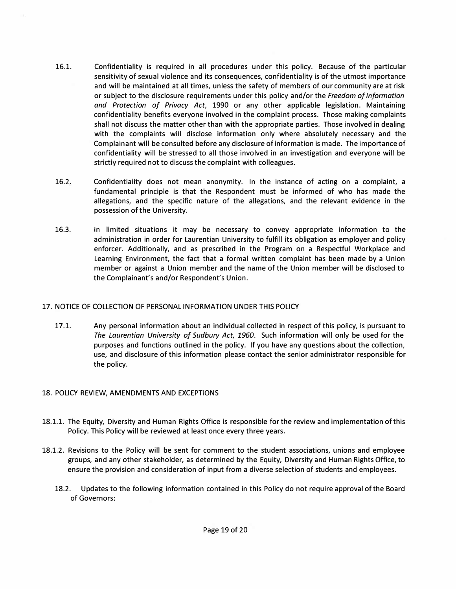- 16.1. Confidentiality is required in all procedures under this policy. Because of the particular sensitivity of sexual violence and its consequences, confidentiality is of the utmost importance and will be maintained at all times, unless the safety of members of our community are at risk or subject to the disclosure requirements under this policy and/or the *Freedom of Information and Protection of Privacy Act,* 1990 or any other applicable legislation. Maintaining confidentiality benefits everyone involved in the complaint process. Those making complaints shall not discuss the matter other than with the appropriate parties. Those involved in dealing with the complaints will disclose information only where absolutely necessary and the Complainant will be consulted before any disclosure of information is made. The importance of confidentiality will be stressed to all those involved in an investigation and everyone will be strictly required not to discuss the complaint with colleagues.
- 16.2. Confidentiality does not mean anonymity. In the instance of acting on a complaint, a fundamental principle is that the Respondent must be informed of who has made the allegations, and the specific nature of the allegations, and the relevant evidence in the possession of the University.
- 16.3. In limited situations it may be necessary to convey appropriate information to the administration in order for Laurentian University to fulfill its obligation as employer and policy enforcer. Additionally, and as prescribed in the Program on a Respectful Workplace and Learning Environment, the fact that a formal written complaint has been made by a Union member or against a Union member and the name of the Union member will be disclosed to the Complainant's and/or Respondent's Union.

## 17. NOTICE OF COLLECTION OF PERSONAL INFORMATION UNDER THIS POLICY

17.1. Any personal information about an individual collected in respect of this policy, is pursuant to *The Laurentian University of Sudbury Act, 1960.* Such information will only be used for the purposes and functions outlined in the policy. If you have any questions about the collection, use, and disclosure of this information please contact the senior administrator responsible for the policy.

# 18. POLICY REVIEW, AMENDMENTS AND EXCEPTIONS

- 18.1.1. The Equity, Diversity and Human Rights Office is responsible for the review and implementation of this Policy. This Policy will be reviewed at least once every three years.
- 18.1.2. Revisions to the Policy will be sent for comment to the student associations, unions and employee groups, and any other stakeholder, as determined by the Equity, Diversity and Human Rights Office, to ensure the provision and consideration of input from a diverse selection of students and employees.
	- 18.2. Updates to the following information contained in this Policy do not require approval of the Board of Governors: